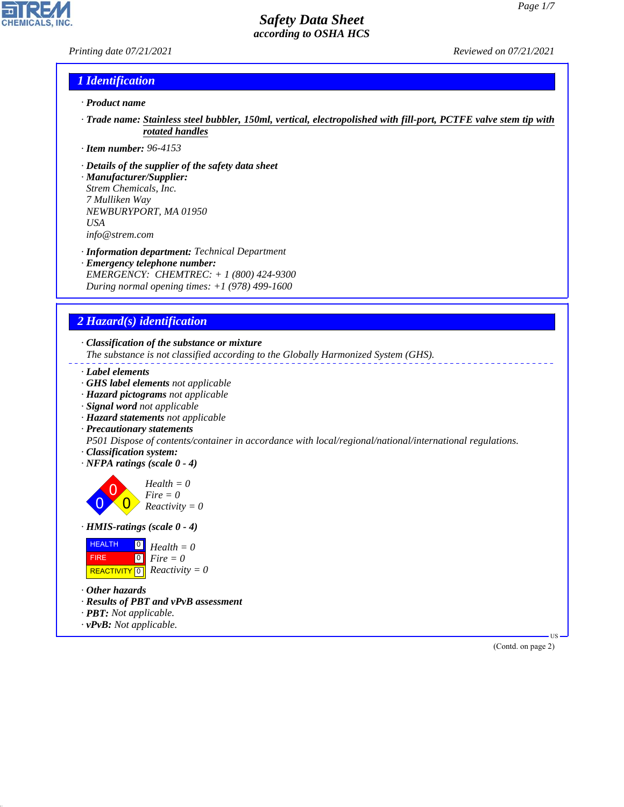### *Printing date 07/21/2021 Reviewed on 07/21/2021*

**CHEMICALS, INC** 

## *1 Identification*

### *· Product name*

- *· Trade name: Stainless steel bubbler, 150ml, vertical, electropolished with fill-port, PCTFE valve stem tip with rotated handles*
- *· Item number: 96-4153*
- *· Details of the supplier of the safety data sheet*
- *· Manufacturer/Supplier: Strem Chemicals, Inc. 7 Mulliken Way NEWBURYPORT, MA 01950 USA info@strem.com*
- *· Information department: Technical Department*
- *· Emergency telephone number: EMERGENCY: CHEMTREC: + 1 (800) 424-9300 During normal opening times: +1 (978) 499-1600*

## *2 Hazard(s) identification*

*· Classification of the substance or mixture*

*The substance is not classified according to the Globally Harmonized System (GHS).*

- *· Label elements*
- *· GHS label elements not applicable*
- *· Hazard pictograms not applicable*
- *· Signal word not applicable*
- *· Hazard statements not applicable*
- *· Precautionary statements*

*P501 Dispose of contents/container in accordance with local/regional/national/international regulations.*

- *· Classification system:*
- *· NFPA ratings (scale 0 4)*

0 0  $\overline{\mathbf{0}}$ *Health = 0 Fire = 0 Reactivity = 0*

*· HMIS-ratings (scale 0 - 4)*

| <b>HEALTH</b> | $\overline{\mathbf{P}}$ Health = 0           |
|---------------|----------------------------------------------|
| <b>FIRE</b>   | $\mathbf{I}^{\mathsf{O}}$ Fire $=0$          |
|               | REACTIVITY $\boxed{0}$ <i>Reactivity</i> = 0 |

*· Other hazards*

44.1.1

- *· Results of PBT and vPvB assessment*
- *· PBT: Not applicable.*
- *· vPvB: Not applicable.*

(Contd. on page 2)

US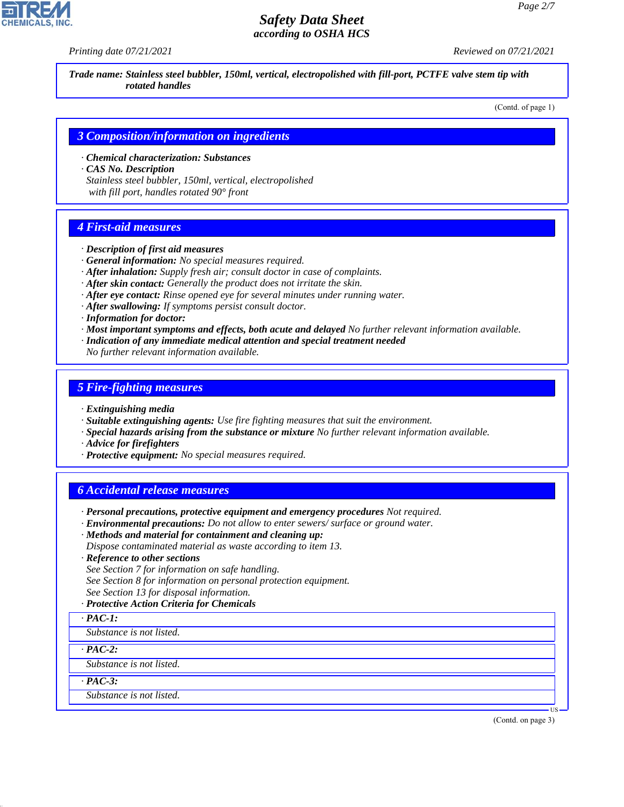*Printing date 07/21/2021 Reviewed on 07/21/2021*

*Trade name: Stainless steel bubbler, 150ml, vertical, electropolished with fill-port, PCTFE valve stem tip with rotated handles*

(Contd. of page 1)

### *3 Composition/information on ingredients*

*· Chemical characterization: Substances · CAS No. Description*

*Stainless steel bubbler, 150ml, vertical, electropolished with fill port, handles rotated 90° front*

## *4 First-aid measures*

- *· Description of first aid measures*
- *· General information: No special measures required.*
- *· After inhalation: Supply fresh air; consult doctor in case of complaints.*
- *· After skin contact: Generally the product does not irritate the skin.*
- *· After eye contact: Rinse opened eye for several minutes under running water.*
- *· After swallowing: If symptoms persist consult doctor.*
- *· Information for doctor:*
- *· Most important symptoms and effects, both acute and delayed No further relevant information available.*
- *· Indication of any immediate medical attention and special treatment needed*
- *No further relevant information available.*

## *5 Fire-fighting measures*

- *· Extinguishing media*
- *· Suitable extinguishing agents: Use fire fighting measures that suit the environment.*
- *· Special hazards arising from the substance or mixture No further relevant information available.*
- *· Advice for firefighters*
- *· Protective equipment: No special measures required.*

## *6 Accidental release measures*

- *· Personal precautions, protective equipment and emergency procedures Not required.*
- *· Environmental precautions: Do not allow to enter sewers/ surface or ground water.*
- *· Methods and material for containment and cleaning up:*
- *Dispose contaminated material as waste according to item 13.*
- *· Reference to other sections*
- *See Section 7 for information on safe handling.*
- *See Section 8 for information on personal protection equipment.*
- *See Section 13 for disposal information.*
- *· Protective Action Criteria for Chemicals*

*· PAC-1:*

*Substance is not listed.*

*· PAC-2:*

*Substance is not listed.*

*· PAC-3:*

44.1.1

*Substance is not listed.*

(Contd. on page 3)

US

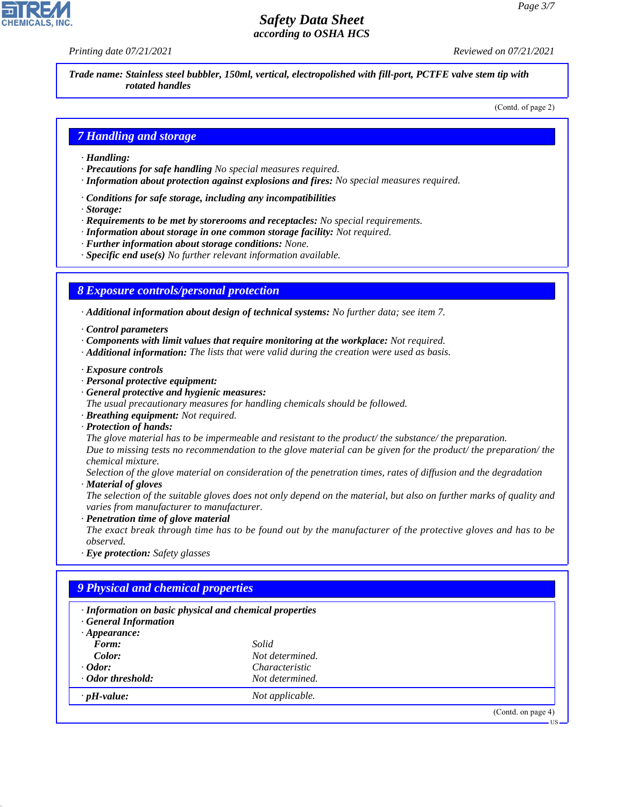*Printing date 07/21/2021 Reviewed on 07/21/2021*

*Trade name: Stainless steel bubbler, 150ml, vertical, electropolished with fill-port, PCTFE valve stem tip with rotated handles*

(Contd. of page 2)

### *7 Handling and storage*

- *· Handling:*
- *· Precautions for safe handling No special measures required.*
- *· Information about protection against explosions and fires: No special measures required.*
- *· Conditions for safe storage, including any incompatibilities*
- *· Storage:*
- *· Requirements to be met by storerooms and receptacles: No special requirements.*
- *· Information about storage in one common storage facility: Not required.*
- *· Further information about storage conditions: None.*
- *· Specific end use(s) No further relevant information available.*

### *8 Exposure controls/personal protection*

*· Additional information about design of technical systems: No further data; see item 7.*

- *· Control parameters*
- *· Components with limit values that require monitoring at the workplace: Not required.*
- *· Additional information: The lists that were valid during the creation were used as basis.*
- *· Exposure controls*
- *· Personal protective equipment:*
- *· General protective and hygienic measures:*
- *The usual precautionary measures for handling chemicals should be followed.*
- *· Breathing equipment: Not required.*
- *· Protection of hands:*

*The glove material has to be impermeable and resistant to the product/ the substance/ the preparation. Due to missing tests no recommendation to the glove material can be given for the product/ the preparation/ the chemical mixture.*

*Selection of the glove material on consideration of the penetration times, rates of diffusion and the degradation · Material of gloves*

*The selection of the suitable gloves does not only depend on the material, but also on further marks of quality and varies from manufacturer to manufacturer.*

*· Penetration time of glove material*

*The exact break through time has to be found out by the manufacturer of the protective gloves and has to be observed.*

*· Eye protection: Safety glasses*

## *9 Physical and chemical properties*

| · Information on basic physical and chemical properties<br><b>General Information</b> |                       |                    |
|---------------------------------------------------------------------------------------|-----------------------|--------------------|
| $\cdot$ Appearance:                                                                   |                       |                    |
| Form:                                                                                 | Solid                 |                    |
| Color:                                                                                | Not determined.       |                    |
| $\cdot$ Odor:                                                                         | <i>Characteristic</i> |                    |
| ⋅ Odor threshold:                                                                     | Not determined.       |                    |
| $\cdot$ pH-value:                                                                     | Not applicable.       |                    |
|                                                                                       |                       | (Contd. on page 4) |
|                                                                                       |                       | - US               |



44.1.1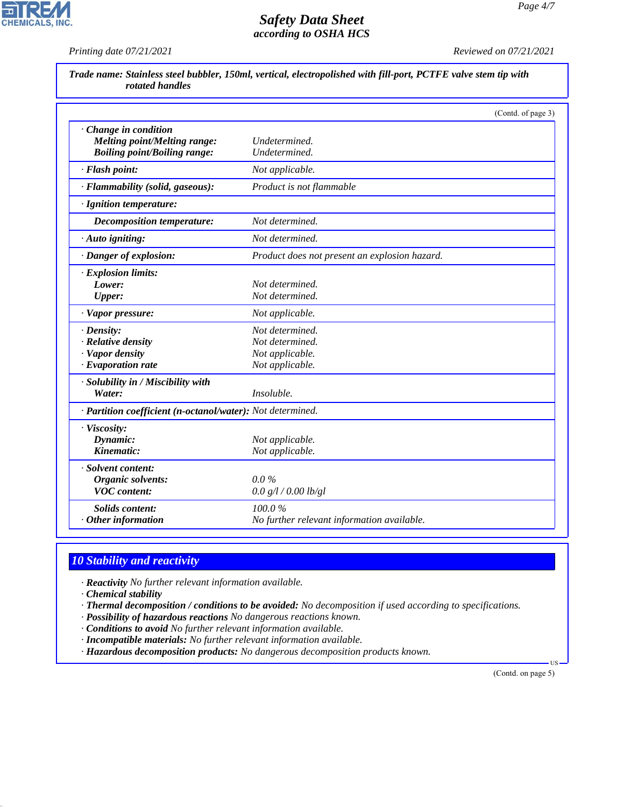

*Printing date 07/21/2021 Reviewed on 07/21/2021*

**CHEMICALS, INC.** 

|                                                            | (Contd. of page 3)                            |  |
|------------------------------------------------------------|-----------------------------------------------|--|
| Change in condition                                        |                                               |  |
| <b>Melting point/Melting range:</b>                        | Undetermined.                                 |  |
| <b>Boiling point/Boiling range:</b>                        | Undetermined.                                 |  |
| · Flash point:                                             | Not applicable.                               |  |
| · Flammability (solid, gaseous):                           | Product is not flammable                      |  |
| · Ignition temperature:                                    |                                               |  |
| <b>Decomposition temperature:</b>                          | Not determined.                               |  |
| $\cdot$ Auto igniting:                                     | Not determined.                               |  |
| · Danger of explosion:                                     | Product does not present an explosion hazard. |  |
| · Explosion limits:                                        |                                               |  |
| Lower:                                                     | Not determined.                               |  |
| Upper:                                                     | Not determined.                               |  |
| · Vapor pressure:                                          | Not applicable.                               |  |
| $\cdot$ Density:                                           | Not determined.                               |  |
| · Relative density                                         | Not determined.                               |  |
| · Vapor density                                            | Not applicable.                               |  |
| $\cdot$ Evaporation rate                                   | Not applicable.                               |  |
| · Solubility in / Miscibility with                         |                                               |  |
| Water:                                                     | Insoluble.                                    |  |
| · Partition coefficient (n-octanol/water): Not determined. |                                               |  |
| · Viscosity:                                               |                                               |  |
| Dynamic:                                                   | Not applicable.                               |  |
| Kinematic:                                                 | Not applicable.                               |  |
| · Solvent content:                                         |                                               |  |
| Organic solvents:                                          | $0.0\%$                                       |  |
| <b>VOC</b> content:                                        | 0.0 g/l / 0.00 lb/gl                          |  |
| <b>Solids content:</b>                                     | 100.0%                                        |  |
| $\cdot$ Other information                                  | No further relevant information available.    |  |

# *10 Stability and reactivity*

*· Reactivity No further relevant information available.*

*· Chemical stability*

44.1.1

*· Thermal decomposition / conditions to be avoided: No decomposition if used according to specifications.*

*· Possibility of hazardous reactions No dangerous reactions known.*

*· Conditions to avoid No further relevant information available.*

*· Incompatible materials: No further relevant information available.*

*· Hazardous decomposition products: No dangerous decomposition products known.*

 US (Contd. on page 5)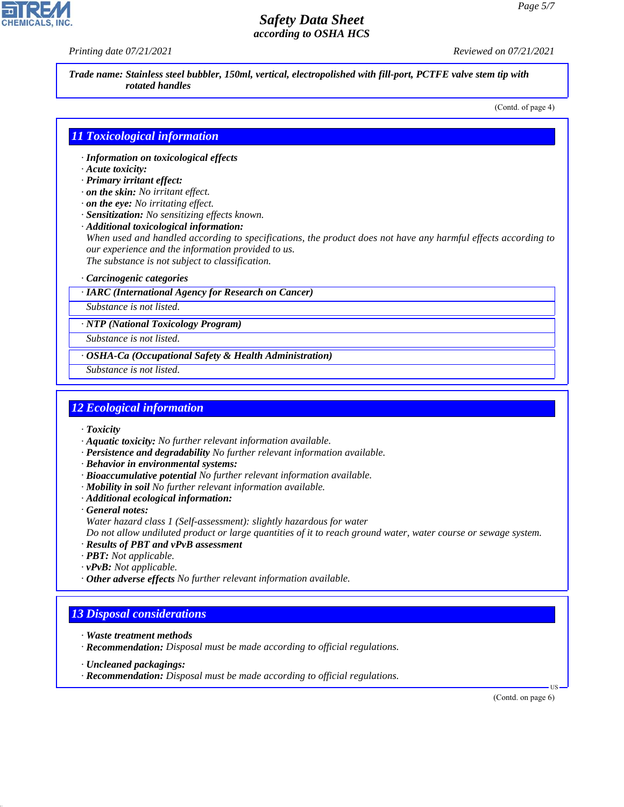*Printing date 07/21/2021 Reviewed on 07/21/2021*

*Trade name: Stainless steel bubbler, 150ml, vertical, electropolished with fill-port, PCTFE valve stem tip with rotated handles*

(Contd. of page 4)

## *11 Toxicological information*

- *· Information on toxicological effects*
- *· Acute toxicity:*
- *· Primary irritant effect:*
- *· on the skin: No irritant effect.*
- *· on the eye: No irritating effect.*
- *· Sensitization: No sensitizing effects known.*
- *· Additional toxicological information:*

*When used and handled according to specifications, the product does not have any harmful effects according to our experience and the information provided to us.*

*The substance is not subject to classification.*

### *· Carcinogenic categories*

### *· IARC (International Agency for Research on Cancer)*

*Substance is not listed.*

*· NTP (National Toxicology Program)*

*Substance is not listed.*

- *· OSHA-Ca (Occupational Safety & Health Administration)*
- *Substance is not listed.*

## *12 Ecological information*

- *· Toxicity*
- *· Aquatic toxicity: No further relevant information available.*
- *· Persistence and degradability No further relevant information available.*
- *· Behavior in environmental systems:*
- *· Bioaccumulative potential No further relevant information available.*
- *· Mobility in soil No further relevant information available.*
- *· Additional ecological information:*

*· General notes: Water hazard class 1 (Self-assessment): slightly hazardous for water*

*Do not allow undiluted product or large quantities of it to reach ground water, water course or sewage system.*

- *· Results of PBT and vPvB assessment*
- *· PBT: Not applicable.*
- *· vPvB: Not applicable.*
- *· Other adverse effects No further relevant information available.*

## *13 Disposal considerations*

- *· Waste treatment methods*
- *· Recommendation: Disposal must be made according to official regulations.*
- *· Uncleaned packagings:*

44.1.1

*· Recommendation: Disposal must be made according to official regulations.*

(Contd. on page 6)

US

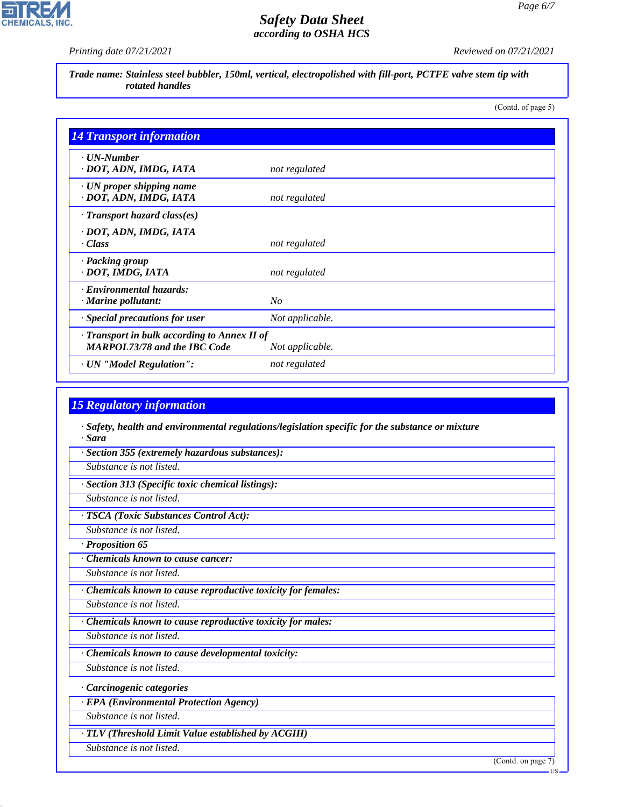

*Printing date 07/21/2021 Reviewed on 07/21/2021*

*Trade name: Stainless steel bubbler, 150ml, vertical, electropolished with fill-port, PCTFE valve stem tip with rotated handles*

(Contd. of page 5)

| <b>14 Transport information</b>                                                     |                 |
|-------------------------------------------------------------------------------------|-----------------|
| $\cdot$ UN-Number<br>· DOT, ADN, IMDG, IATA                                         | not regulated   |
| $\cdot$ UN proper shipping name<br>· DOT, ADN, IMDG, IATA                           | not regulated   |
| $\cdot$ Transport hazard class(es)                                                  |                 |
| · DOT, ADN, IMDG, IATA<br>$\cdot$ Class                                             | not regulated   |
| · Packing group<br>· DOT, IMDG, IATA                                                | not regulated   |
| · Environmental hazards:<br>$\cdot$ Marine pollutant:                               | No              |
| · Special precautions for user                                                      | Not applicable. |
| · Transport in bulk according to Annex II of<br><b>MARPOL73/78 and the IBC Code</b> | Not applicable. |
| · UN "Model Regulation":                                                            | not regulated   |

## *15 Regulatory information*

- *· Safety, health and environmental regulations/legislation specific for the substance or mixture · Sara*
- *· Section 355 (extremely hazardous substances):*
- *Substance is not listed.*
- *· Section 313 (Specific toxic chemical listings):*
- *Substance is not listed.*

## *· TSCA (Toxic Substances Control Act):*

- *Substance is not listed.*
- *· Proposition 65*
- *· Chemicals known to cause cancer:*
- *Substance is not listed.*
- *· Chemicals known to cause reproductive toxicity for females:*
- *Substance is not listed.*
- *· Chemicals known to cause reproductive toxicity for males:*
- *Substance is not listed. · Chemicals known to cause developmental toxicity:*
- *Substance is not listed.*
- *· Carcinogenic categories*
- *· EPA (Environmental Protection Agency)*
- *Substance is not listed.*
- *· TLV (Threshold Limit Value established by ACGIH)*
- *Substance is not listed.*

44.1.1

(Contd. on page 7)